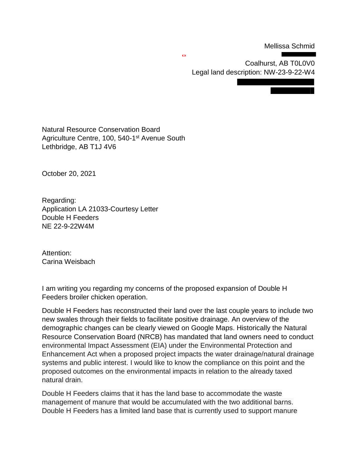Mellissa Schmid

Coalhurst, AB T0L0V0 Legal land description: NW-23-9-22-W4

Natural Resource Conservation Board Agriculture Centre, 100, 540-1<sup>st</sup> Avenue South Lethbridge, AB T1J 4V6

October 20, 2021

Regarding: Application LA 21033-Courtesy Letter Double H Feeders NE 22-9-22W4M

Attention: Carina Weisbach

I am writing you regarding my concerns of the proposed expansion of Double H Feeders broiler chicken operation.

Double H Feeders has reconstructed their land over the last couple years to include two new swales through their fields to facilitate positive drainage. An overview of the demographic changes can be clearly viewed on Google Maps. Historically the Natural Resource Conservation Board (NRCB) has mandated that land owners need to conduct environmental Impact Assessment (EIA) under the Environmental Protection and Enhancement Act when a proposed project impacts the water drainage/natural drainage systems and public interest. I would like to know the compliance on this point and the proposed outcomes on the environmental impacts in relation to the already taxed natural drain.

Double H Feeders claims that it has the land base to accommodate the waste management of manure that would be accumulated with the two additional barns. Double H Feeders has a limited land base that is currently used to support manure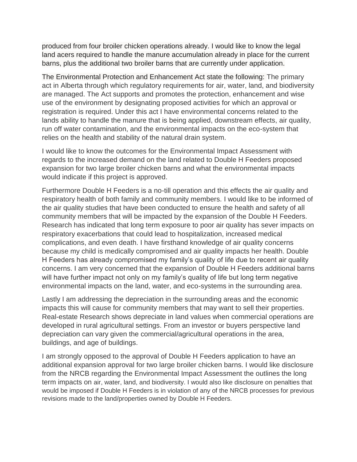produced from four broiler chicken operations already. I would like to know the legal land acers required to handle the manure accumulation already in place for the current barns, plus the additional two broiler barns that are currently under application.

The Environmental Protection and Enhancement Act state the following: The primary act in Alberta through which regulatory requirements for air, water, land, and biodiversity are managed. The Act supports and promotes the protection, enhancement and wise use of the environment by designating proposed activities for which an approval or registration is required. Under this act I have environmental concerns related to the lands ability to handle the manure that is being applied, downstream effects, air quality, run off water contamination, and the environmental impacts on the eco-system that relies on the health and stability of the natural drain system.

I would like to know the outcomes for the Environmental Impact Assessment with regards to the increased demand on the land related to Double H Feeders proposed expansion for two large broiler chicken barns and what the environmental impacts would indicate if this project is approved.

Furthermore Double H Feeders is a no-till operation and this effects the air quality and respiratory health of both family and community members. I would like to be informed of the air quality studies that have been conducted to ensure the health and safety of all community members that will be impacted by the expansion of the Double H Feeders. Research has indicated that long term exposure to poor air quality has sever impacts on respiratory exacerbations that could lead to hospitalization, increased medical complications, and even death. I have firsthand knowledge of air quality concerns because my child is medically compromised and air quality impacts her health. Double H Feeders has already compromised my family's quality of life due to recent air quality concerns. I am very concerned that the expansion of Double H Feeders additional barns will have further impact not only on my family's quality of life but long term negative environmental impacts on the land, water, and eco-systems in the surrounding area.

Lastly I am addressing the depreciation in the surrounding areas and the economic impacts this will cause for community members that may want to sell their properties. Real-estate Research shows depreciate in land values when commercial operations are developed in rural agricultural settings. From an investor or buyers perspective land depreciation can vary given the commercial/agricultural operations in the area, buildings, and age of buildings.

I am strongly opposed to the approval of Double H Feeders application to have an additional expansion approval for two large broiler chicken barns. I would like disclosure from the NRCB regarding the Environmental Impact Assessment the outlines the long term impacts on air, water, land, and biodiversity. I would also like disclosure on penalties that would be imposed if Double H Feeders is in violation of any of the NRCB processes for previous revisions made to the land/properties owned by Double H Feeders.